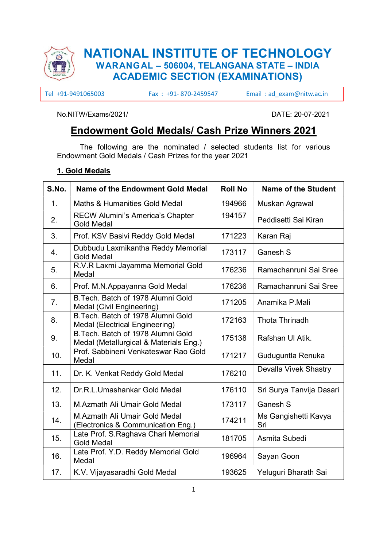

# NATIONAL INSTITUTE OF TECHNOLOGY WARANGAL – 506004, TELANGANA STATE – INDIA ACADEMIC SECTION (EXAMINATIONS)

Tel +91-9491065003 Fax : +91- 870-2459547 Email : ad\_exam@nitw.ac.in

No.NITW/Exams/2021/ DATE: 20-07-2021

## Endowment Gold Medals/ Cash Prize Winners 2021

The following are the nominated / selected students list for various Endowment Gold Medals / Cash Prizes for the year 2021

#### 1. Gold Medals

| S.No. | <b>Name of the Endowment Gold Medal</b>                                      | <b>Roll No</b> | <b>Name of the Student</b>  |
|-------|------------------------------------------------------------------------------|----------------|-----------------------------|
| 1.    | <b>Maths &amp; Humanities Gold Medal</b>                                     | 194966         | Muskan Agrawal              |
| 2.    | <b>RECW Alumini's America's Chapter</b><br><b>Gold Medal</b>                 | 194157         | Peddisetti Sai Kiran        |
| 3.    | Prof. KSV Basivi Reddy Gold Medal                                            | 171223         | Karan Raj                   |
| 4.    | Dubbudu Laxmikantha Reddy Memorial<br><b>Gold Medal</b>                      | 173117         | Ganesh S                    |
| 5.    | R.V.R Laxmi Jayamma Memorial Gold<br>Medal                                   | 176236         | Ramachanruni Sai Sree       |
| 6.    | Prof. M.N.Appayanna Gold Medal                                               | 176236         | Ramachanruni Sai Sree       |
| 7.    | B. Tech. Batch of 1978 Alumni Gold<br>Medal (Civil Engineering)              | 171205         | Anamika P.Mali              |
| 8.    | B. Tech. Batch of 1978 Alumni Gold<br>Medal (Electrical Engineering)         | 172163         | <b>Thota Thrinadh</b>       |
| 9.    | B. Tech. Batch of 1978 Alumni Gold<br>Medal (Metallurgical & Materials Eng.) | 175138         | Rafshan Ul Atik.            |
| 10.   | Prof. Sabbineni Venkateswar Rao Gold<br>Medal                                | 171217         | Guduguntla Renuka           |
| 11.   | Dr. K. Venkat Reddy Gold Medal                                               | 176210         | Devalla Vivek Shastry       |
| 12.   | Dr.R.L.Umashankar Gold Medal                                                 | 176110         | Sri Surya Tanvija Dasari    |
| 13.   | M.Azmath Ali Umair Gold Medal                                                | 173117         | Ganesh S                    |
| 14.   | M.Azmath Ali Umair Gold Medal<br>(Electronics & Communication Eng.)          | 174211         | Ms Gangishetti Kavya<br>Sri |
| 15.   | Late Prof. S.Raghava Chari Memorial<br><b>Gold Medal</b>                     | 181705         | Asmita Subedi               |
| 16.   | Late Prof. Y.D. Reddy Memorial Gold<br>Medal                                 | 196964         | Sayan Goon                  |
| 17.   | K.V. Vijayasaradhi Gold Medal                                                | 193625         | Yeluguri Bharath Sai        |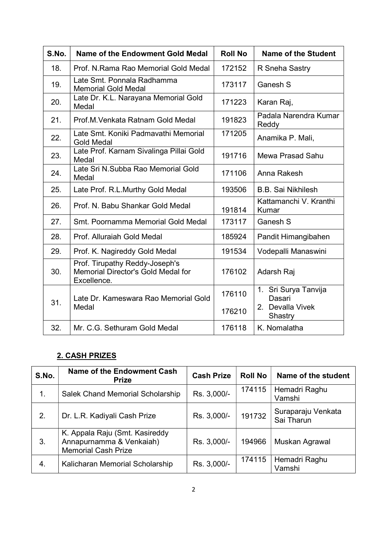| S.No. | <b>Name of the Endowment Gold Medal</b>                                             | <b>Roll No</b>   | <b>Name of the Student</b>                                    |
|-------|-------------------------------------------------------------------------------------|------------------|---------------------------------------------------------------|
| 18.   | Prof. N.Rama Rao Memorial Gold Medal                                                | 172152           | R Sneha Sastry                                                |
| 19.   | Late Smt. Ponnala Radhamma<br><b>Memorial Gold Medal</b>                            | 173117           | Ganesh S                                                      |
| 20.   | Late Dr. K.L. Narayana Memorial Gold<br>Medal                                       | 171223           | Karan Raj,                                                    |
| 21.   | Prof.M. Venkata Ratnam Gold Medal                                                   | 191823           | Padala Narendra Kumar<br>Reddy                                |
| 22.   | Late Smt. Koniki Padmavathi Memorial<br><b>Gold Medal</b>                           | 171205           | Anamika P. Mali,                                              |
| 23.   | Late Prof. Karnam Sivalinga Pillai Gold<br>Medal                                    | 191716           | Mewa Prasad Sahu                                              |
| 24.   | Late Sri N.Subba Rao Memorial Gold<br>Medal                                         | 171106           | Anna Rakesh                                                   |
| 25.   | Late Prof. R.L.Murthy Gold Medal                                                    | 193506           | <b>B.B. Sai Nikhilesh</b>                                     |
| 26.   | Prof. N. Babu Shankar Gold Medal                                                    | 191814           | Kattamanchi V. Kranthi<br>Kumar                               |
| 27.   | Smt. Poornamma Memorial Gold Medal                                                  | 173117           | Ganesh S                                                      |
| 28.   | Prof. Alluraiah Gold Medal                                                          | 185924           | Pandit Himangibahen                                           |
| 29.   | Prof. K. Nagireddy Gold Medal                                                       | 191534           | Vodepalli Manaswini                                           |
| 30.   | Prof. Tirupathy Reddy-Joseph's<br>Memorial Director's Gold Medal for<br>Excellence. | 176102           | Adarsh Raj                                                    |
| 31.   | Late Dr. Kameswara Rao Memorial Gold<br>Medal                                       | 176110<br>176210 | 1. Sri Surya Tanvija<br>Dasari<br>2. Devalla Vivek<br>Shastry |
| 32.   | Mr. C.G. Sethuram Gold Medal                                                        | 176118           | K. Nomalatha                                                  |

### 2. CASH PRIZES

| S.No. | Name of the Endowment Cash<br><b>Prize</b>                                               | <b>Cash Prize</b> | <b>Roll No</b> | Name of the student              |
|-------|------------------------------------------------------------------------------------------|-------------------|----------------|----------------------------------|
| 1.    | Salek Chand Memorial Scholarship                                                         | Rs. 3,000/-       | 174115         | Hemadri Raghu<br>Vamshi          |
| 2.    | Dr. L.R. Kadiyali Cash Prize                                                             | Rs. 3,000/-       | 191732         | Suraparaju Venkata<br>Sai Tharun |
| 3.    | K. Appala Raju (Smt. Kasireddy<br>Annapurnamma & Venkaiah)<br><b>Memorial Cash Prize</b> | Rs. 3,000/-       | 194966         | Muskan Agrawal                   |
| 4.    | Kalicharan Memorial Scholarship                                                          | Rs. 3,000/-       | 174115         | Hemadri Raghu<br>Vamshi          |